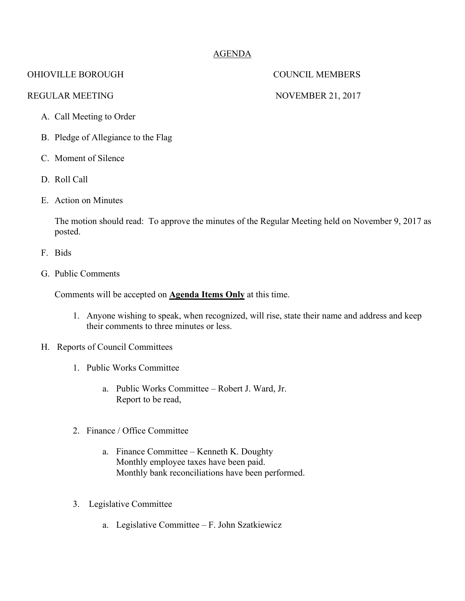# AGENDA

## OHIOVILLE BOROUGH COUNCIL MEMBERS

### REGULAR MEETING NOVEMBER 21, 2017

- A. Call Meeting to Order
- B. Pledge of Allegiance to the Flag
- C. Moment of Silence
- D. Roll Call
- E. Action on Minutes

The motion should read: To approve the minutes of the Regular Meeting held on November 9, 2017 as posted.

- F. Bids
- G. Public Comments

Comments will be accepted on **Agenda Items Only** at this time.

- 1. Anyone wishing to speak, when recognized, will rise, state their name and address and keep their comments to three minutes or less.
- H. Reports of Council Committees
	- 1. Public Works Committee
		- a. Public Works Committee Robert J. Ward, Jr. Report to be read,
	- 2. Finance / Office Committee
		- a. Finance Committee Kenneth K. Doughty Monthly employee taxes have been paid. Monthly bank reconciliations have been performed.
	- 3. Legislative Committee
		- a. Legislative Committee F. John Szatkiewicz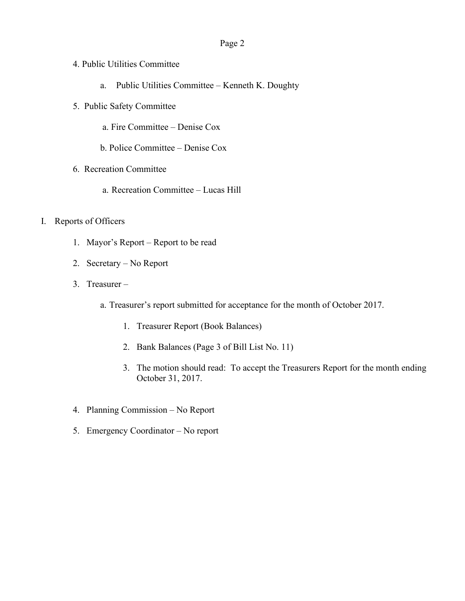### Page 2

- 4. Public Utilities Committee
	- a. Public Utilities Committee Kenneth K. Doughty
- 5. Public Safety Committee
	- a. Fire Committee Denise Cox
	- b. Police Committee Denise Cox
- 6. Recreation Committee
	- a. Recreation Committee Lucas Hill
- I. Reports of Officers
	- 1. Mayor's Report Report to be read
	- 2. Secretary No Report
	- 3. Treasurer
		- a. Treasurer's report submitted for acceptance for the month of October 2017.
			- 1. Treasurer Report (Book Balances)
			- 2. Bank Balances (Page 3 of Bill List No. 11)
			- 3. The motion should read: To accept the Treasurers Report for the month ending October 31, 2017.
	- 4. Planning Commission No Report
	- 5. Emergency Coordinator No report